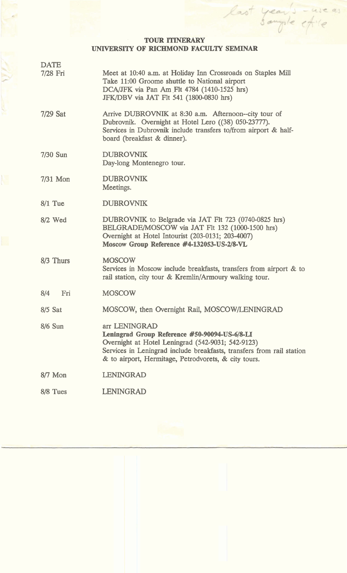## **TOUR ITINERARY UNIVERSITY OF RICHMOND FACULTY SEMINAR**

M.

year's -use as

last

| <b>DATE</b><br>7/28 Fri | Meet at 10:40 a.m. at Holiday Inn Crossroads on Staples Mill<br>Take 11:00 Groome shuttle to National airport<br>DCA/JFK via Pan Am Flt 4784 (1410-1525 hrs)<br>JFK/DBV via JAT Flt 541 (1800-0830 hrs)                                              |
|-------------------------|------------------------------------------------------------------------------------------------------------------------------------------------------------------------------------------------------------------------------------------------------|
| 7/29 Sat                | Arrive DUBROVNIK at 8:30 a.m. Afternoon--city tour of<br>Dubrovnik. Overnight at Hotel Lero ((38) 050-23777).<br>Services in Dubrovnik include transfers to/from airport & half-<br>board (breakfast & dinner).                                      |
| 7/30 Sun                | <b>DUBROVNIK</b><br>Day-long Montenegro tour.                                                                                                                                                                                                        |
| 7/31 Mon                | <b>DUBROVNIK</b><br>Meetings.                                                                                                                                                                                                                        |
| $8/1$ Tue               | <b>DUBROVNIK</b>                                                                                                                                                                                                                                     |
| 8/2 Wed                 | DUBROVNIK to Belgrade via JAT Flt 723 (0740-0825 hrs)<br>BELGRADE/MOSCOW via JAT Flt 132 (1000-1500 hrs)<br>Overnight at Hotel Intourist (203-0131; 203-4007)<br>Moscow Group Reference #4-132053-US-2/8-VL                                          |
| 8/3 Thurs               | <b>MOSCOW</b><br>Services in Moscow include breakfasts, transfers from airport & to<br>rail station, city tour & Kremlin/Armoury walking tour.                                                                                                       |
| 8/4<br>Fri              | <b>MOSCOW</b>                                                                                                                                                                                                                                        |
| 8/5 Sat                 | MOSCOW, then Overnight Rail, MOSCOW/LENINGRAD                                                                                                                                                                                                        |
| 8/6 Sun                 | arr LENINGRAD<br>Leningrad Group Reference #50-90094-US-6/8-LI<br>Overnight at Hotel Leningrad (542-9031; 542-9123)<br>Services in Leningrad include breakfasts, transfers from rail station<br>& to airport, Hermitage, Petrodvorets, & city tours. |
| $8/7$ Mon               | <b>LENINGRAD</b>                                                                                                                                                                                                                                     |
| 8/8 Tues                | <b>LENINGRAD</b>                                                                                                                                                                                                                                     |